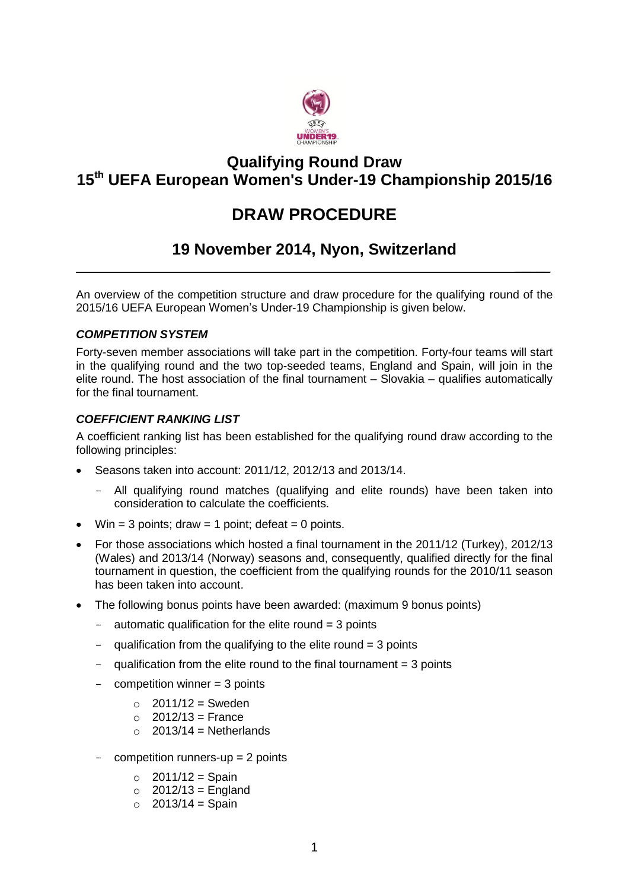

# **Qualifying Round Draw 15 th UEFA European Women's Under-19 Championship 2015/16**

# **DRAW PROCEDURE**

# **19 November 2014, Nyon, Switzerland**

 $\mathcal{L}$ 

An overview of the competition structure and draw procedure for the qualifying round of the 2015/16 UEFA European Women's Under-19 Championship is given below.

### *COMPETITION SYSTEM*

Forty-seven member associations will take part in the competition. Forty-four teams will start in the qualifying round and the two top-seeded teams, England and Spain, will join in the elite round. The host association of the final tournament – Slovakia – qualifies automatically for the final tournament.

#### *COEFFICIENT RANKING LIST*

A coefficient ranking list has been established for the qualifying round draw according to the following principles:

- Seasons taken into account: 2011/12, 2012/13 and 2013/14.
	- All qualifying round matches (qualifying and elite rounds) have been taken into consideration to calculate the coefficients.
- Win = 3 points; draw = 1 point; defeat = 0 points.
- For those associations which hosted a final tournament in the 2011/12 (Turkey), 2012/13 (Wales) and 2013/14 (Norway) seasons and, consequently, qualified directly for the final tournament in question, the coefficient from the qualifying rounds for the 2010/11 season has been taken into account.
- The following bonus points have been awarded: (maximum 9 bonus points)
	- $-$  automatic qualification for the elite round  $=$  3 points
	- qualification from the qualifying to the elite round  $=$  3 points
	- $-$  qualification from the elite round to the final tournament = 3 points
	- $competition winner = 3 points$ 
		- $\circ$  2011/12 = Sweden
		- $\circ$  2012/13 = France
		- $\Omega$  2013/14 = Netherlands
	- $\text{-}$  competition runners-up = 2 points
		- $\circ$  2011/12 = Spain
		- $\circ$  2012/13 = England
		- $\circ$  2013/14 = Spain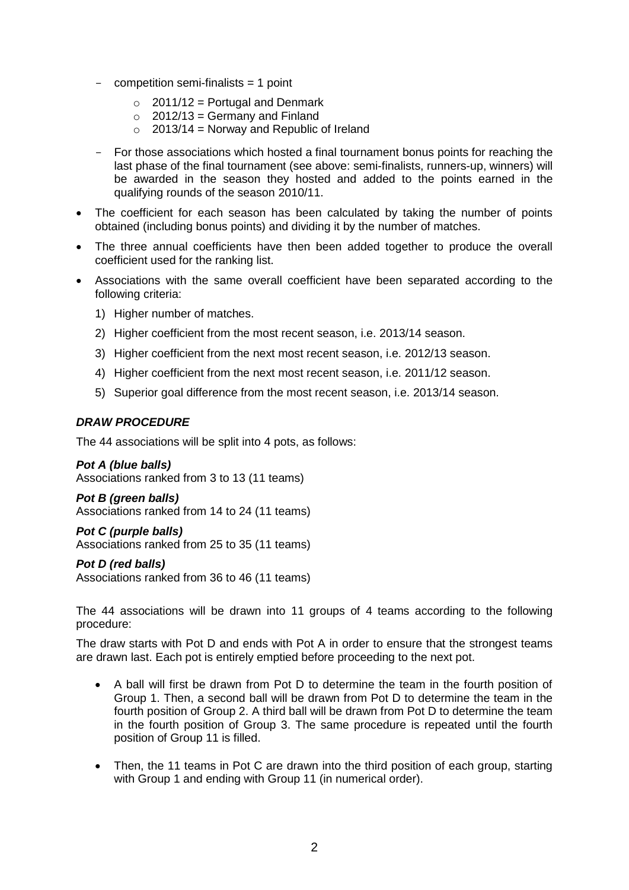- competition semi-finalists = 1 point
	- $\circ$  2011/12 = Portugal and Denmark
	- $\circ$  2012/13 = Germany and Finland
	- $\circ$  2013/14 = Norway and Republic of Ireland
- For those associations which hosted a final tournament bonus points for reaching the last phase of the final tournament (see above: semi-finalists, runners-up, winners) will be awarded in the season they hosted and added to the points earned in the qualifying rounds of the season 2010/11.
- The coefficient for each season has been calculated by taking the number of points obtained (including bonus points) and dividing it by the number of matches.
- The three annual coefficients have then been added together to produce the overall coefficient used for the ranking list.
- Associations with the same overall coefficient have been separated according to the following criteria:
	- 1) Higher number of matches.
	- 2) Higher coefficient from the most recent season, i.e. 2013/14 season.
	- 3) Higher coefficient from the next most recent season, i.e. 2012/13 season.
	- 4) Higher coefficient from the next most recent season, i.e. 2011/12 season.
	- 5) Superior goal difference from the most recent season, i.e. 2013/14 season.

### *DRAW PROCEDURE*

The 44 associations will be split into 4 pots, as follows:

#### *Pot A (blue balls)*

Associations ranked from 3 to 13 (11 teams)

#### *Pot B (green balls)* Associations ranked from 14 to 24 (11 teams)

*Pot C (purple balls)* Associations ranked from 25 to 35 (11 teams)

#### *Pot D (red balls)*

Associations ranked from 36 to 46 (11 teams)

The 44 associations will be drawn into 11 groups of 4 teams according to the following procedure:

The draw starts with Pot D and ends with Pot A in order to ensure that the strongest teams are drawn last. Each pot is entirely emptied before proceeding to the next pot.

- A ball will first be drawn from Pot D to determine the team in the fourth position of Group 1. Then, a second ball will be drawn from Pot D to determine the team in the fourth position of Group 2. A third ball will be drawn from Pot D to determine the team in the fourth position of Group 3. The same procedure is repeated until the fourth position of Group 11 is filled.
- Then, the 11 teams in Pot C are drawn into the third position of each group, starting with Group 1 and ending with Group 11 (in numerical order).